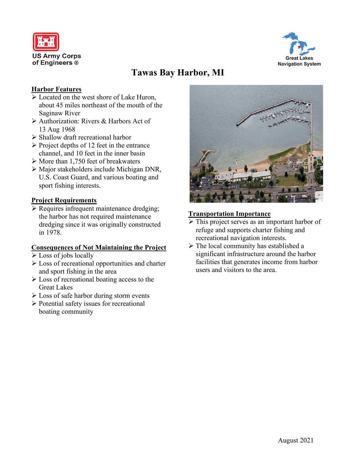



# **Tawas Bay Harbor, MI**

## **Harbor Features**

- $\triangleright$  Located on the west shore of Lake Huron, about 45 miles northeast of the mouth of the Saginaw River
- Authorization: Rivers & Harbors Act of 13 Aug 1968
- $\triangleright$  Shallow draft recreational harbor
- $\triangleright$  Project depths of 12 feet in the entrance channel, and 10 feet in the inner basin
- $\triangleright$  More than 1,750 feet of breakwaters
- Major stakeholders include Michigan DNR, U.S. Coast Guard, and various boating and sport fishing interests.

## **Project Requirements**

 Requires infrequent maintenance dredging; the harbor has not required maintenance dredging since it was originally constructed in 1978.

## **Consequences of Not Maintaining the Project**

- Loss of jobs locally
- Loss of recreational opportunities and charter and sport fishing in the area
- $\triangleright$  Loss of recreational boating access to the Great Lakes
- $\triangleright$  Loss of safe harbor during storm events
- $\triangleright$  Potential safety issues for recreational boating community



## **Transportation Importance**

- $\triangleright$  This project serves as an important harbor of refuge and supports charter fishing and recreational navigation interests.
- $\triangleright$  The local community has established a significant infrastructure around the harbor facilities that generates income from harbor users and visitors to the area.